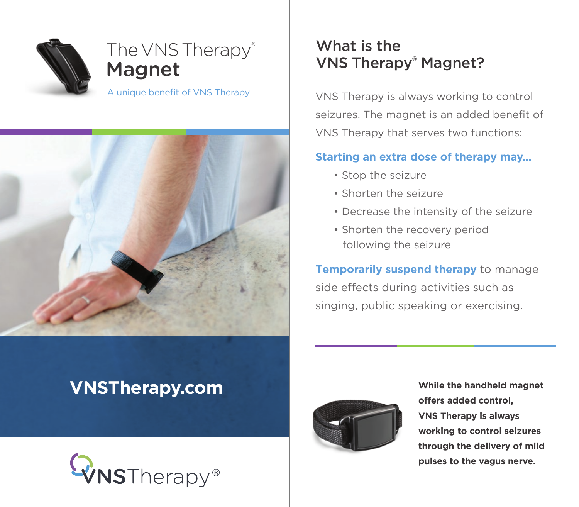

# The VNS Therapy® Magnet

A unique benefit of VNS Therapy



# What is the VNS Therapy® Magnet?

VNS Therapy is always working to control seizures. The magnet is an added benefit of VNS Therapy that serves two functions:

### **Starting an extra dose of therapy may...**

- Stop the seizure
- Shorten the seizure
- Decrease the intensity of the seizure
- Shorten the recovery period following the seizure

T**emporarily suspend therapy** to manage side effects during activities such as singing, public speaking or exercising.

# **VNSTherapy.com**





**While the handheld magnet offers added control, VNS Therapy is always working to control seizures through the delivery of mild pulses to the vagus nerve.**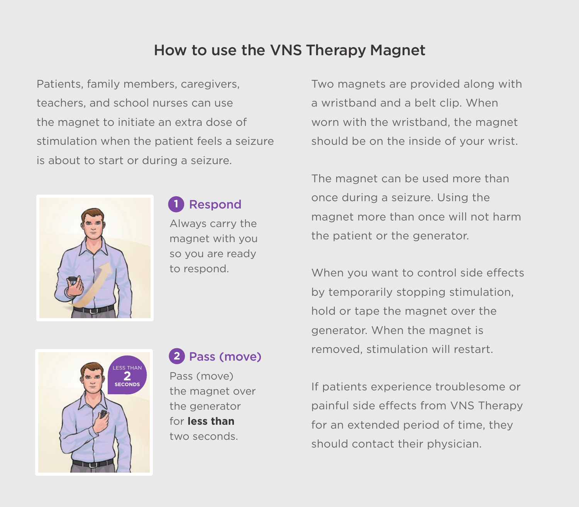## How to use the VNS Therapy Magnet

Patients, family members, caregivers, teachers, and school nurses can use the magnet to initiate an extra dose of stimulation when the patient feels a seizure is about to start or during a seizure.



### Respond **1**

Always carry the magnet with you so you are ready to respond.

Two magnets are provided along with a wristband and a belt clip. When worn with the wristband, the magnet should be on the inside of your wrist.

The magnet can be used more than once during a seizure. Using the magnet more than once will not harm the patient or the generator.

When you want to control side effects by temporarily stopping stimulation, hold or tape the magnet over the generator. When the magnet is removed, stimulation will restart.

If patients experience troublesome or painful side effects from VNS Therapy for an extended period of time, they should contact their physician.



### Pass (move) **2**

Pass (move) the magnet over the generator for **less than** two seconds.